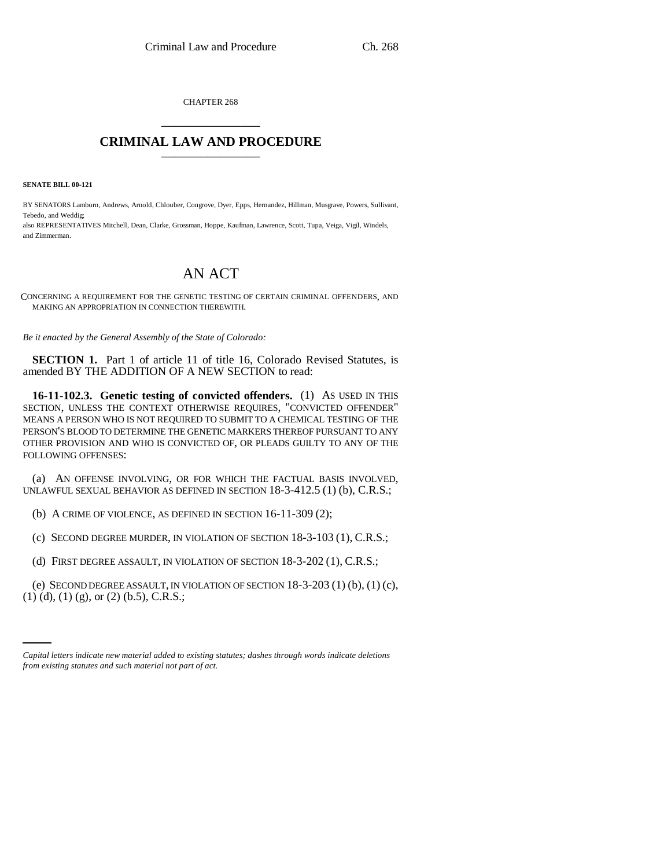CHAPTER 268 \_\_\_\_\_\_\_\_\_\_\_\_\_\_\_

## **CRIMINAL LAW AND PROCEDURE** \_\_\_\_\_\_\_\_\_\_\_\_\_\_\_

**SENATE BILL 00-121** 

BY SENATORS Lamborn, Andrews, Arnold, Chlouber, Congrove, Dyer, Epps, Hernandez, Hillman, Musgrave, Powers, Sullivant, Tebedo, and Weddig; also REPRESENTATIVES Mitchell, Dean, Clarke, Grossman, Hoppe, Kaufman, Lawrence, Scott, Tupa, Veiga, Vigil, Windels, and Zimmerman.

## AN ACT

CONCERNING A REQUIREMENT FOR THE GENETIC TESTING OF CERTAIN CRIMINAL OFFENDERS, AND MAKING AN APPROPRIATION IN CONNECTION THEREWITH.

*Be it enacted by the General Assembly of the State of Colorado:*

**SECTION 1.** Part 1 of article 11 of title 16, Colorado Revised Statutes, is amended BY THE ADDITION OF A NEW SECTION to read:

**16-11-102.3. Genetic testing of convicted offenders.** (1) AS USED IN THIS SECTION, UNLESS THE CONTEXT OTHERWISE REQUIRES, "CONVICTED OFFENDER" MEANS A PERSON WHO IS NOT REQUIRED TO SUBMIT TO A CHEMICAL TESTING OF THE PERSON'S BLOOD TO DETERMINE THE GENETIC MARKERS THEREOF PURSUANT TO ANY OTHER PROVISION AND WHO IS CONVICTED OF, OR PLEADS GUILTY TO ANY OF THE FOLLOWING OFFENSES:

(a) AN OFFENSE INVOLVING, OR FOR WHICH THE FACTUAL BASIS INVOLVED, UNLAWFUL SEXUAL BEHAVIOR AS DEFINED IN SECTION 18-3-412.5 (1) (b), C.R.S.;

(b) A CRIME OF VIOLENCE, AS DEFINED IN SECTION 16-11-309 (2);

(c) SECOND DEGREE MURDER, IN VIOLATION OF SECTION 18-3-103 (1), C.R.S.;

(d) FIRST DEGREE ASSAULT, IN VIOLATION OF SECTION 18-3-202 (1), C.R.S.;

(e) SECOND DEGREE ASSAULT, IN VIOLATION OF SECTION  $18-3-203(1)$  (b),  $(1)$  (c), (1) (d), (1) (g), or (2) (b.5), C.R.S.;

*Capital letters indicate new material added to existing statutes; dashes through words indicate deletions from existing statutes and such material not part of act.*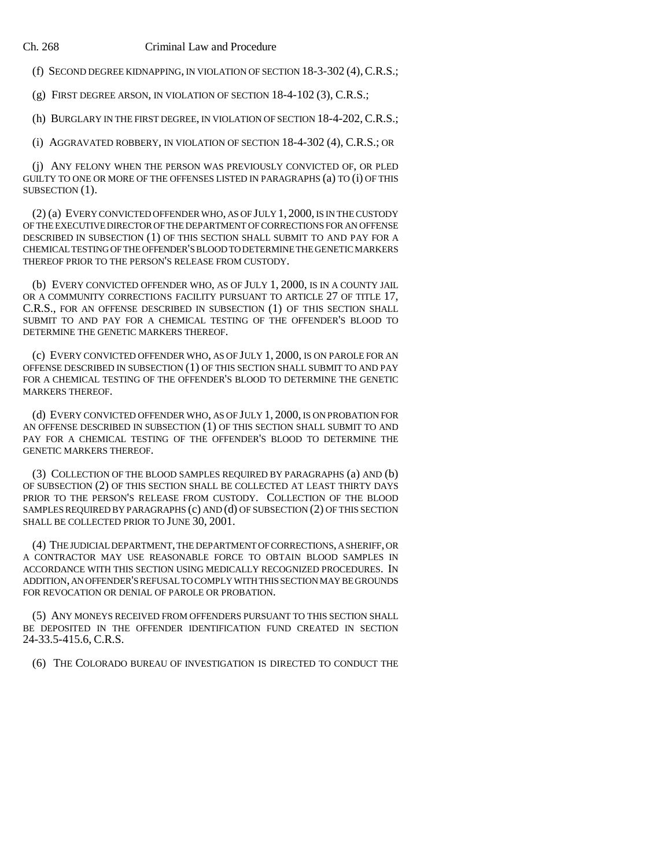Ch. 268 Criminal Law and Procedure

(f) SECOND DEGREE KIDNAPPING, IN VIOLATION OF SECTION 18-3-302 (4),C.R.S.;

(g) FIRST DEGREE ARSON, IN VIOLATION OF SECTION 18-4-102 (3), C.R.S.;

(h) BURGLARY IN THE FIRST DEGREE, IN VIOLATION OF SECTION 18-4-202, C.R.S.;

(i) AGGRAVATED ROBBERY, IN VIOLATION OF SECTION 18-4-302 (4), C.R.S.; OR

(j) ANY FELONY WHEN THE PERSON WAS PREVIOUSLY CONVICTED OF, OR PLED GUILTY TO ONE OR MORE OF THE OFFENSES LISTED IN PARAGRAPHS (a) TO (i) OF THIS SUBSECTION  $(1)$ .

(2) (a) EVERY CONVICTED OFFENDER WHO, AS OF JULY 1, 2000, IS IN THE CUSTODY OF THE EXECUTIVE DIRECTOR OF THE DEPARTMENT OF CORRECTIONS FOR AN OFFENSE DESCRIBED IN SUBSECTION (1) OF THIS SECTION SHALL SUBMIT TO AND PAY FOR A CHEMICAL TESTING OF THE OFFENDER'S BLOOD TO DETERMINE THE GENETIC MARKERS THEREOF PRIOR TO THE PERSON'S RELEASE FROM CUSTODY.

(b) EVERY CONVICTED OFFENDER WHO, AS OF JULY 1, 2000, IS IN A COUNTY JAIL OR A COMMUNITY CORRECTIONS FACILITY PURSUANT TO ARTICLE 27 OF TITLE 17, C.R.S., FOR AN OFFENSE DESCRIBED IN SUBSECTION (1) OF THIS SECTION SHALL SUBMIT TO AND PAY FOR A CHEMICAL TESTING OF THE OFFENDER'S BLOOD TO DETERMINE THE GENETIC MARKERS THEREOF.

(c) EVERY CONVICTED OFFENDER WHO, AS OF JULY 1, 2000, IS ON PAROLE FOR AN OFFENSE DESCRIBED IN SUBSECTION (1) OF THIS SECTION SHALL SUBMIT TO AND PAY FOR A CHEMICAL TESTING OF THE OFFENDER'S BLOOD TO DETERMINE THE GENETIC MARKERS THEREOF.

(d) EVERY CONVICTED OFFENDER WHO, AS OF JULY 1, 2000, IS ON PROBATION FOR AN OFFENSE DESCRIBED IN SUBSECTION (1) OF THIS SECTION SHALL SUBMIT TO AND PAY FOR A CHEMICAL TESTING OF THE OFFENDER'S BLOOD TO DETERMINE THE GENETIC MARKERS THEREOF.

(3) COLLECTION OF THE BLOOD SAMPLES REQUIRED BY PARAGRAPHS (a) AND (b) OF SUBSECTION (2) OF THIS SECTION SHALL BE COLLECTED AT LEAST THIRTY DAYS PRIOR TO THE PERSON'S RELEASE FROM CUSTODY. COLLECTION OF THE BLOOD SAMPLES REQUIRED BY PARAGRAPHS (c) AND (d) OF SUBSECTION (2) OF THIS SECTION SHALL BE COLLECTED PRIOR TO JUNE 30, 2001.

(4) THE JUDICIAL DEPARTMENT, THE DEPARTMENT OF CORRECTIONS, A SHERIFF, OR A CONTRACTOR MAY USE REASONABLE FORCE TO OBTAIN BLOOD SAMPLES IN ACCORDANCE WITH THIS SECTION USING MEDICALLY RECOGNIZED PROCEDURES. IN ADDITION, AN OFFENDER'S REFUSAL TO COMPLY WITH THIS SECTION MAY BE GROUNDS FOR REVOCATION OR DENIAL OF PAROLE OR PROBATION.

(5) ANY MONEYS RECEIVED FROM OFFENDERS PURSUANT TO THIS SECTION SHALL BE DEPOSITED IN THE OFFENDER IDENTIFICATION FUND CREATED IN SECTION 24-33.5-415.6, C.R.S.

(6) THE COLORADO BUREAU OF INVESTIGATION IS DIRECTED TO CONDUCT THE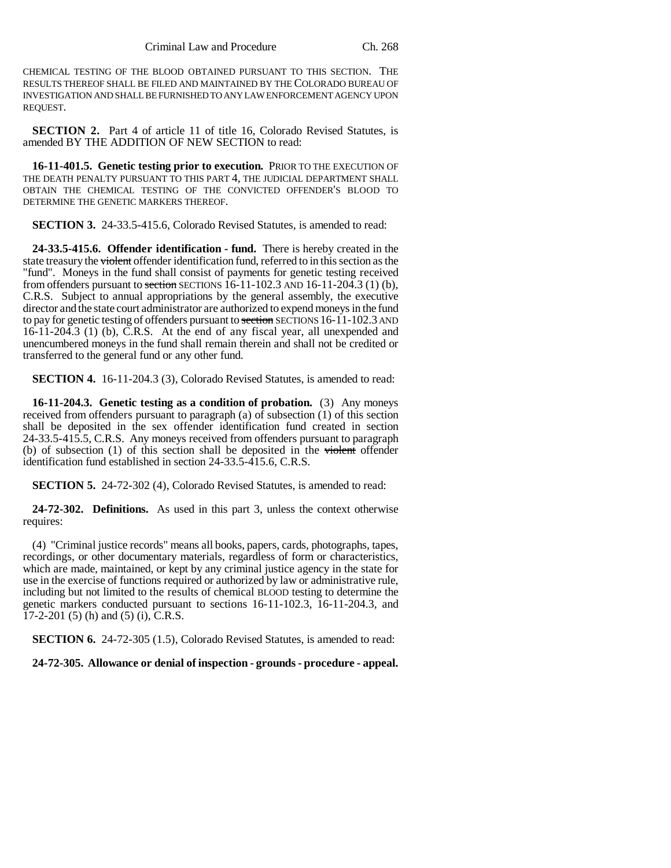CHEMICAL TESTING OF THE BLOOD OBTAINED PURSUANT TO THIS SECTION. THE RESULTS THEREOF SHALL BE FILED AND MAINTAINED BY THE COLORADO BUREAU OF INVESTIGATION AND SHALL BE FURNISHED TO ANY LAW ENFORCEMENT AGENCY UPON REQUEST.

**SECTION 2.** Part 4 of article 11 of title 16, Colorado Revised Statutes, is amended BY THE ADDITION OF NEW SECTION to read:

**16-11-401.5. Genetic testing prior to execution.** PRIOR TO THE EXECUTION OF THE DEATH PENALTY PURSUANT TO THIS PART 4, THE JUDICIAL DEPARTMENT SHALL OBTAIN THE CHEMICAL TESTING OF THE CONVICTED OFFENDER'S BLOOD TO DETERMINE THE GENETIC MARKERS THEREOF.

**SECTION 3.** 24-33.5-415.6, Colorado Revised Statutes, is amended to read:

**24-33.5-415.6. Offender identification - fund.** There is hereby created in the state treasury the violent offender identification fund, referred to in this section as the "fund". Moneys in the fund shall consist of payments for genetic testing received from offenders pursuant to section SECTIONS  $16-11-102.3$  AND  $16-11-204.3$  (1) (b), C.R.S. Subject to annual appropriations by the general assembly, the executive director and the state court administrator are authorized to expend moneys in the fund to pay for genetic testing of offenders pursuant to section SECTIONS 16-11-102.3 AND  $16-11-204.3$  (1) (b), C.R.S. At the end of any fiscal year, all unexpended and unencumbered moneys in the fund shall remain therein and shall not be credited or transferred to the general fund or any other fund.

**SECTION 4.** 16-11-204.3 (3), Colorado Revised Statutes, is amended to read:

**16-11-204.3. Genetic testing as a condition of probation.** (3) Any moneys received from offenders pursuant to paragraph (a) of subsection (1) of this section shall be deposited in the sex offender identification fund created in section 24-33.5-415.5, C.R.S. Any moneys received from offenders pursuant to paragraph (b) of subsection (1) of this section shall be deposited in the violent offender identification fund established in section 24-33.5-415.6, C.R.S.

**SECTION 5.** 24-72-302 (4), Colorado Revised Statutes, is amended to read:

**24-72-302. Definitions.** As used in this part 3, unless the context otherwise requires:

(4) "Criminal justice records" means all books, papers, cards, photographs, tapes, recordings, or other documentary materials, regardless of form or characteristics, which are made, maintained, or kept by any criminal justice agency in the state for use in the exercise of functions required or authorized by law or administrative rule, including but not limited to the results of chemical BLOOD testing to determine the genetic markers conducted pursuant to sections 16-11-102.3, 16-11-204.3, and 17-2-201 (5) (h) and (5) (i), C.R.S.

**SECTION 6.** 24-72-305 (1.5), Colorado Revised Statutes, is amended to read:

**24-72-305. Allowance or denial of inspection - grounds - procedure - appeal.**